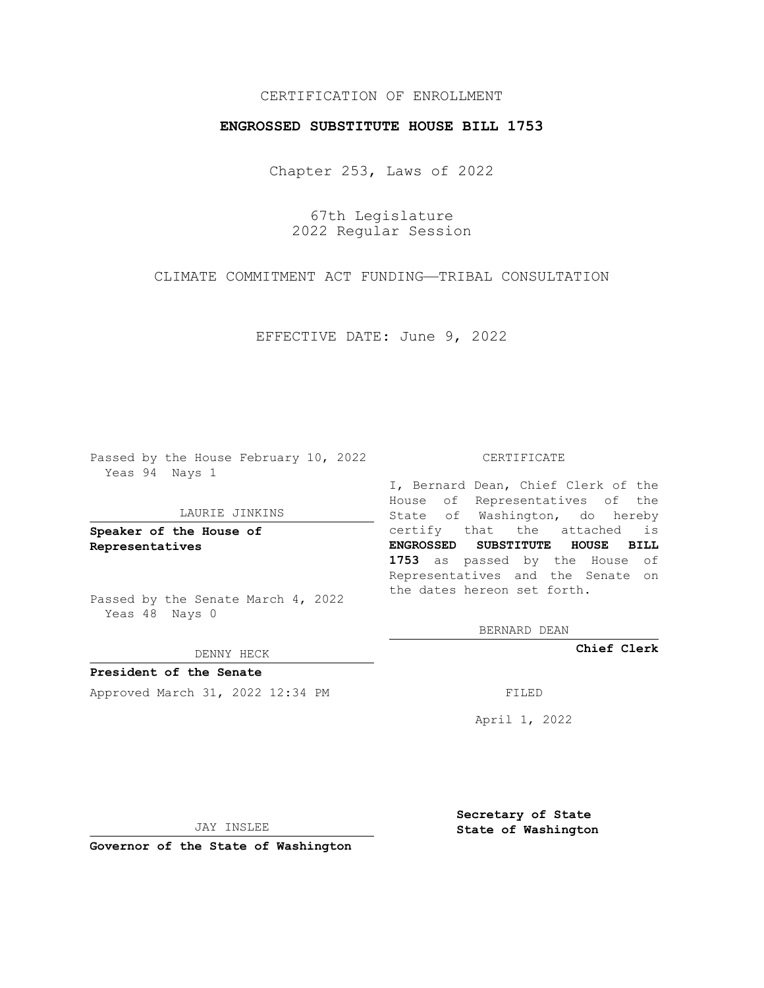## CERTIFICATION OF ENROLLMENT

## **ENGROSSED SUBSTITUTE HOUSE BILL 1753**

Chapter 253, Laws of 2022

67th Legislature 2022 Regular Session

CLIMATE COMMITMENT ACT FUNDING—TRIBAL CONSULTATION

EFFECTIVE DATE: June 9, 2022

Passed by the House February 10, 2022 Yeas 94 Nays 1

## LAURIE JINKINS

**Speaker of the House of Representatives**

Passed by the Senate March 4, 2022 Yeas 48 Nays 0

DENNY HECK

**President of the Senate** Approved March 31, 2022 12:34 PM

CERTIFICATE

I, Bernard Dean, Chief Clerk of the House of Representatives of the State of Washington, do hereby certify that the attached is **ENGROSSED SUBSTITUTE HOUSE BILL 1753** as passed by the House of Representatives and the Senate on the dates hereon set forth.

BERNARD DEAN

**Chief Clerk**

April 1, 2022

JAY INSLEE

**Governor of the State of Washington**

**Secretary of State State of Washington**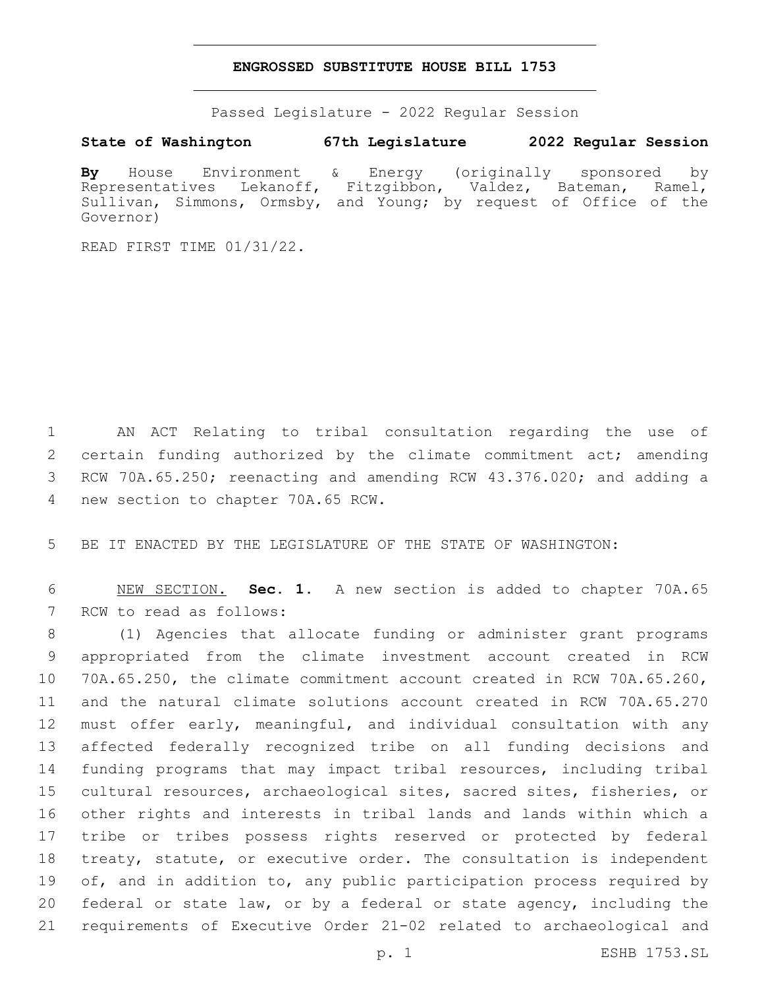## **ENGROSSED SUBSTITUTE HOUSE BILL 1753**

Passed Legislature - 2022 Regular Session

**State of Washington 67th Legislature 2022 Regular Session**

**By** House Environment & Energy (originally sponsored by Representatives Lekanoff, Fitzgibbon, Valdez, Bateman, Ramel, Sullivan, Simmons, Ormsby, and Young; by request of Office of the Governor)

READ FIRST TIME 01/31/22.

1 AN ACT Relating to tribal consultation regarding the use of 2 certain funding authorized by the climate commitment act; amending 3 RCW 70A.65.250; reenacting and amending RCW 43.376.020; and adding a 4 new section to chapter 70A.65 RCW.

5 BE IT ENACTED BY THE LEGISLATURE OF THE STATE OF WASHINGTON:

6 NEW SECTION. **Sec. 1.** A new section is added to chapter 70A.65 7 RCW to read as follows:

 (1) Agencies that allocate funding or administer grant programs appropriated from the climate investment account created in RCW 70A.65.250, the climate commitment account created in RCW 70A.65.260, and the natural climate solutions account created in RCW 70A.65.270 must offer early, meaningful, and individual consultation with any affected federally recognized tribe on all funding decisions and funding programs that may impact tribal resources, including tribal cultural resources, archaeological sites, sacred sites, fisheries, or other rights and interests in tribal lands and lands within which a tribe or tribes possess rights reserved or protected by federal treaty, statute, or executive order. The consultation is independent 19 of, and in addition to, any public participation process required by federal or state law, or by a federal or state agency, including the requirements of Executive Order 21-02 related to archaeological and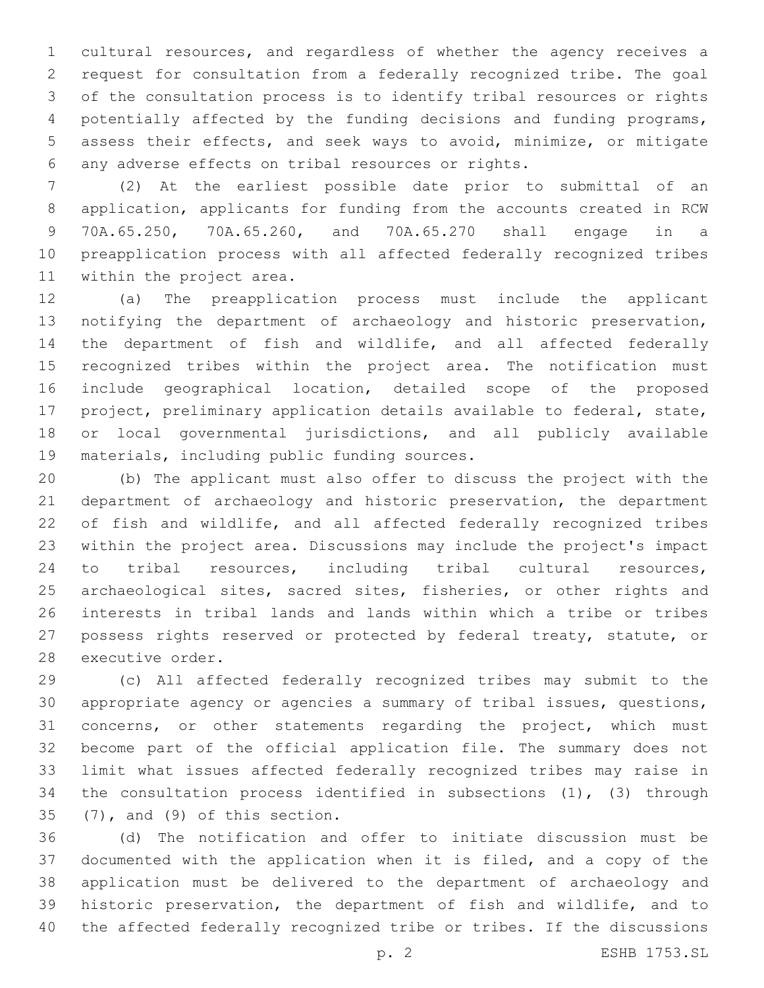cultural resources, and regardless of whether the agency receives a request for consultation from a federally recognized tribe. The goal of the consultation process is to identify tribal resources or rights potentially affected by the funding decisions and funding programs, assess their effects, and seek ways to avoid, minimize, or mitigate any adverse effects on tribal resources or rights.6

 (2) At the earliest possible date prior to submittal of an application, applicants for funding from the accounts created in RCW 70A.65.250, 70A.65.260, and 70A.65.270 shall engage in a preapplication process with all affected federally recognized tribes 11 within the project area.

 (a) The preapplication process must include the applicant notifying the department of archaeology and historic preservation, the department of fish and wildlife, and all affected federally recognized tribes within the project area. The notification must include geographical location, detailed scope of the proposed project, preliminary application details available to federal, state, or local governmental jurisdictions, and all publicly available 19 materials, including public funding sources.

 (b) The applicant must also offer to discuss the project with the department of archaeology and historic preservation, the department of fish and wildlife, and all affected federally recognized tribes within the project area. Discussions may include the project's impact to tribal resources, including tribal cultural resources, 25 archaeological sites, sacred sites, fisheries, or other rights and interests in tribal lands and lands within which a tribe or tribes possess rights reserved or protected by federal treaty, statute, or 28 executive order.

 (c) All affected federally recognized tribes may submit to the appropriate agency or agencies a summary of tribal issues, questions, concerns, or other statements regarding the project, which must become part of the official application file. The summary does not limit what issues affected federally recognized tribes may raise in the consultation process identified in subsections (1), (3) through  $(7)$ , and  $(9)$  of this section.

 (d) The notification and offer to initiate discussion must be documented with the application when it is filed, and a copy of the application must be delivered to the department of archaeology and historic preservation, the department of fish and wildlife, and to the affected federally recognized tribe or tribes. If the discussions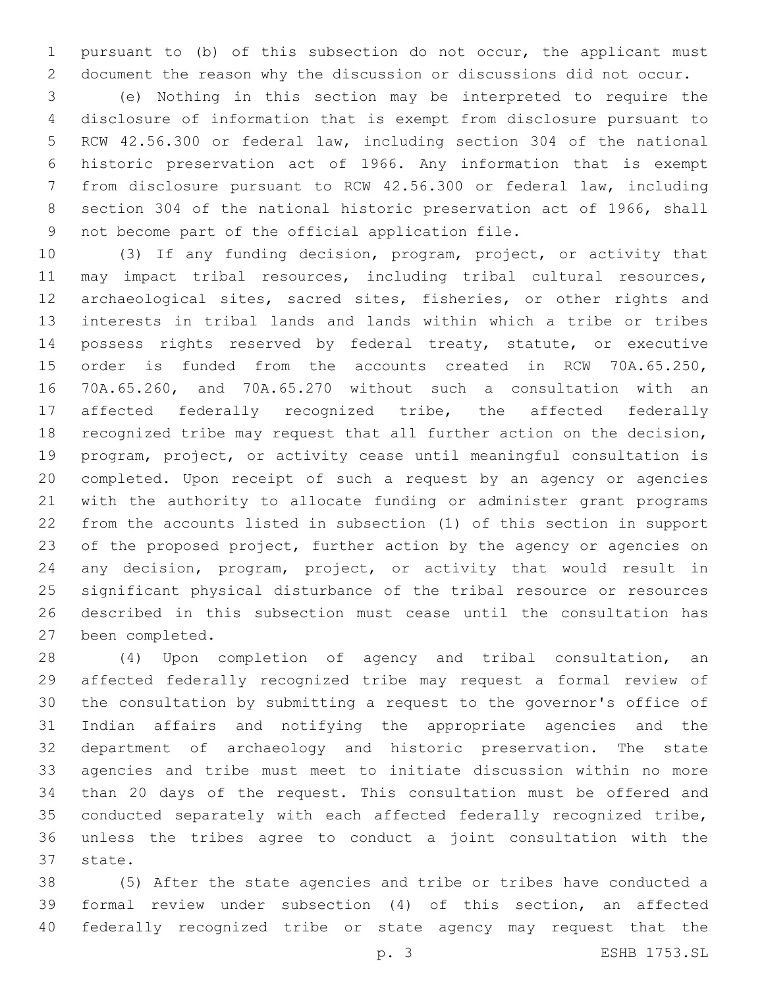pursuant to (b) of this subsection do not occur, the applicant must document the reason why the discussion or discussions did not occur.

 (e) Nothing in this section may be interpreted to require the disclosure of information that is exempt from disclosure pursuant to RCW 42.56.300 or federal law, including section 304 of the national historic preservation act of 1966. Any information that is exempt from disclosure pursuant to RCW 42.56.300 or federal law, including section 304 of the national historic preservation act of 1966, shall 9 not become part of the official application file.

 (3) If any funding decision, program, project, or activity that may impact tribal resources, including tribal cultural resources, archaeological sites, sacred sites, fisheries, or other rights and interests in tribal lands and lands within which a tribe or tribes possess rights reserved by federal treaty, statute, or executive order is funded from the accounts created in RCW 70A.65.250, 70A.65.260, and 70A.65.270 without such a consultation with an affected federally recognized tribe, the affected federally recognized tribe may request that all further action on the decision, program, project, or activity cease until meaningful consultation is completed. Upon receipt of such a request by an agency or agencies with the authority to allocate funding or administer grant programs from the accounts listed in subsection (1) of this section in support of the proposed project, further action by the agency or agencies on any decision, program, project, or activity that would result in significant physical disturbance of the tribal resource or resources described in this subsection must cease until the consultation has 27 been completed.

 (4) Upon completion of agency and tribal consultation, an affected federally recognized tribe may request a formal review of the consultation by submitting a request to the governor's office of Indian affairs and notifying the appropriate agencies and the department of archaeology and historic preservation. The state agencies and tribe must meet to initiate discussion within no more than 20 days of the request. This consultation must be offered and conducted separately with each affected federally recognized tribe, unless the tribes agree to conduct a joint consultation with the 37 state.

 (5) After the state agencies and tribe or tribes have conducted a formal review under subsection (4) of this section, an affected federally recognized tribe or state agency may request that the

p. 3 ESHB 1753.SL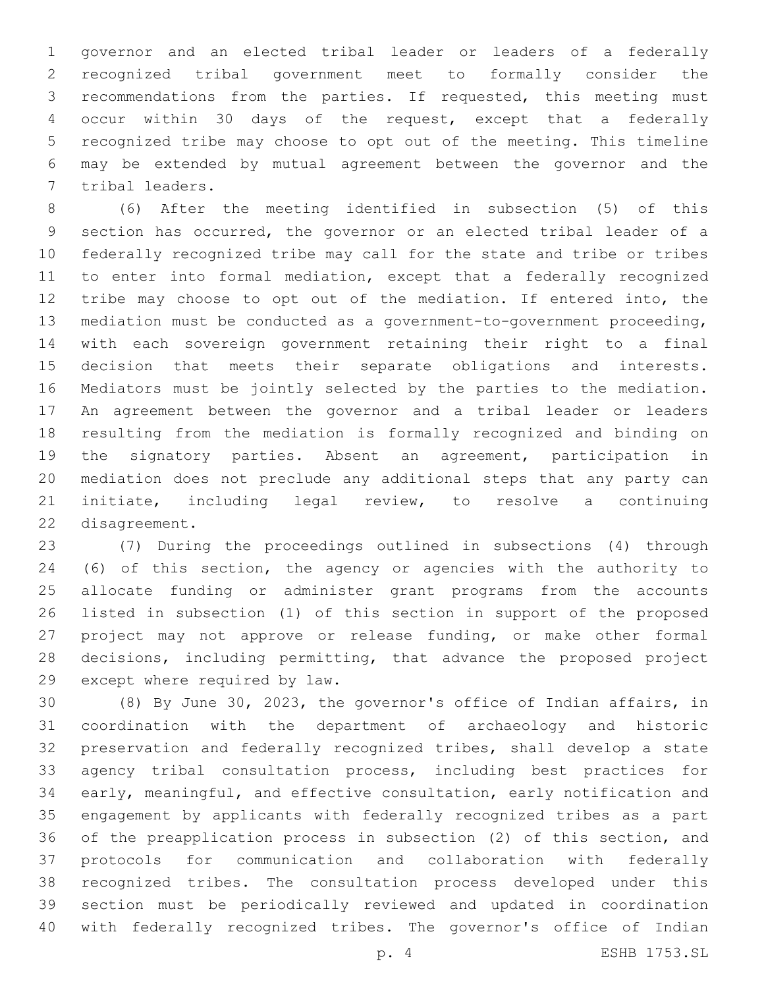governor and an elected tribal leader or leaders of a federally recognized tribal government meet to formally consider the recommendations from the parties. If requested, this meeting must occur within 30 days of the request, except that a federally recognized tribe may choose to opt out of the meeting. This timeline may be extended by mutual agreement between the governor and the 7 tribal leaders.

 (6) After the meeting identified in subsection (5) of this section has occurred, the governor or an elected tribal leader of a federally recognized tribe may call for the state and tribe or tribes to enter into formal mediation, except that a federally recognized tribe may choose to opt out of the mediation. If entered into, the mediation must be conducted as a government-to-government proceeding, with each sovereign government retaining their right to a final decision that meets their separate obligations and interests. Mediators must be jointly selected by the parties to the mediation. An agreement between the governor and a tribal leader or leaders resulting from the mediation is formally recognized and binding on the signatory parties. Absent an agreement, participation in mediation does not preclude any additional steps that any party can initiate, including legal review, to resolve a continuing 22 disagreement.

 (7) During the proceedings outlined in subsections (4) through (6) of this section, the agency or agencies with the authority to allocate funding or administer grant programs from the accounts listed in subsection (1) of this section in support of the proposed project may not approve or release funding, or make other formal decisions, including permitting, that advance the proposed project 29 except where required by law.

 (8) By June 30, 2023, the governor's office of Indian affairs, in coordination with the department of archaeology and historic preservation and federally recognized tribes, shall develop a state agency tribal consultation process, including best practices for early, meaningful, and effective consultation, early notification and engagement by applicants with federally recognized tribes as a part of the preapplication process in subsection (2) of this section, and protocols for communication and collaboration with federally recognized tribes. The consultation process developed under this section must be periodically reviewed and updated in coordination with federally recognized tribes. The governor's office of Indian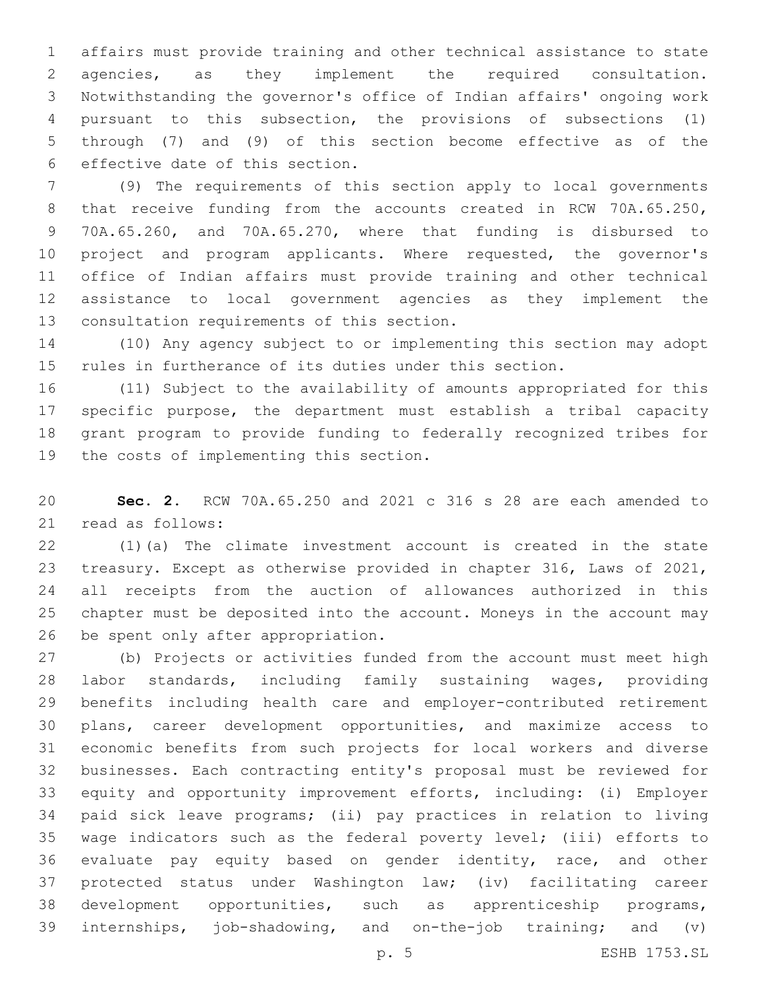affairs must provide training and other technical assistance to state agencies, as they implement the required consultation. Notwithstanding the governor's office of Indian affairs' ongoing work pursuant to this subsection, the provisions of subsections (1) through (7) and (9) of this section become effective as of the 6 effective date of this section.

 (9) The requirements of this section apply to local governments 8 that receive funding from the accounts created in RCW 70A.65.250, 70A.65.260, and 70A.65.270, where that funding is disbursed to project and program applicants. Where requested, the governor's office of Indian affairs must provide training and other technical assistance to local government agencies as they implement the 13 consultation requirements of this section.

 (10) Any agency subject to or implementing this section may adopt rules in furtherance of its duties under this section.

 (11) Subject to the availability of amounts appropriated for this specific purpose, the department must establish a tribal capacity grant program to provide funding to federally recognized tribes for 19 the costs of implementing this section.

 **Sec. 2.** RCW 70A.65.250 and 2021 c 316 s 28 are each amended to 21 read as follows:

 (1)(a) The climate investment account is created in the state treasury. Except as otherwise provided in chapter 316, Laws of 2021, all receipts from the auction of allowances authorized in this chapter must be deposited into the account. Moneys in the account may 26 be spent only after appropriation.

 (b) Projects or activities funded from the account must meet high labor standards, including family sustaining wages, providing benefits including health care and employer-contributed retirement plans, career development opportunities, and maximize access to economic benefits from such projects for local workers and diverse businesses. Each contracting entity's proposal must be reviewed for equity and opportunity improvement efforts, including: (i) Employer paid sick leave programs; (ii) pay practices in relation to living wage indicators such as the federal poverty level; (iii) efforts to evaluate pay equity based on gender identity, race, and other protected status under Washington law; (iv) facilitating career development opportunities, such as apprenticeship programs, internships, job-shadowing, and on-the-job training; and (v)

p. 5 ESHB 1753.SL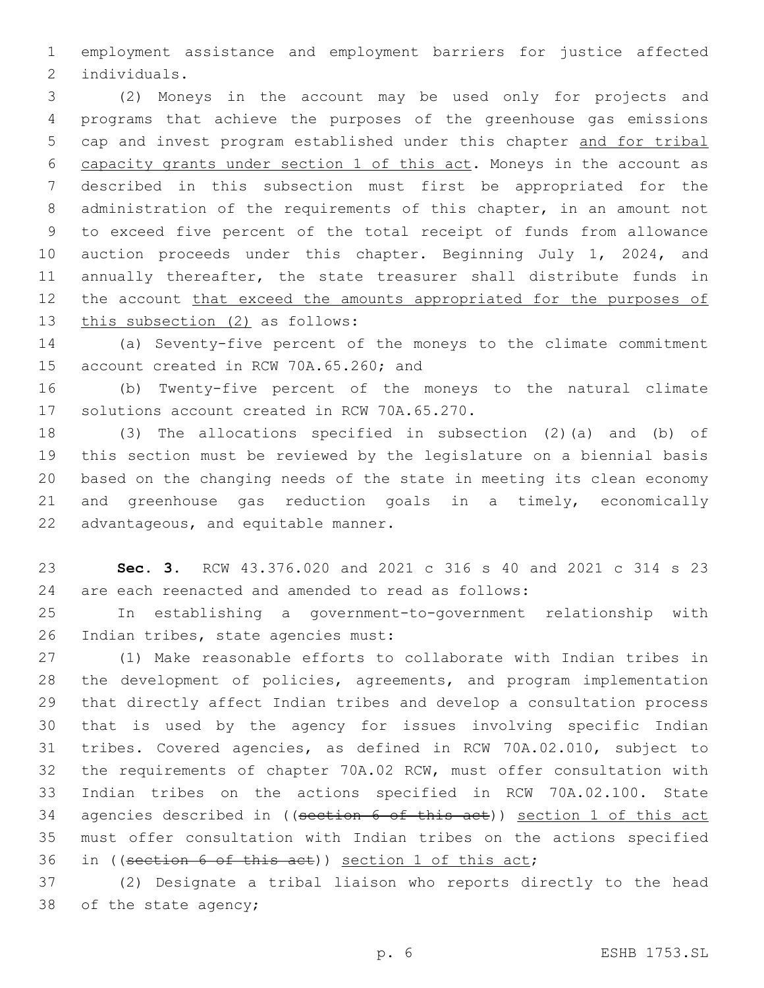employment assistance and employment barriers for justice affected 2 individuals.

 (2) Moneys in the account may be used only for projects and programs that achieve the purposes of the greenhouse gas emissions cap and invest program established under this chapter and for tribal capacity grants under section 1 of this act. Moneys in the account as described in this subsection must first be appropriated for the administration of the requirements of this chapter, in an amount not to exceed five percent of the total receipt of funds from allowance auction proceeds under this chapter. Beginning July 1, 2024, and annually thereafter, the state treasurer shall distribute funds in 12 the account that exceed the amounts appropriated for the purposes of 13 this subsection (2) as follows:

 (a) Seventy-five percent of the moneys to the climate commitment 15 account created in RCW 70A.65.260; and

 (b) Twenty-five percent of the moneys to the natural climate 17 solutions account created in RCW 70A.65.270.

 (3) The allocations specified in subsection (2)(a) and (b) of this section must be reviewed by the legislature on a biennial basis based on the changing needs of the state in meeting its clean economy and greenhouse gas reduction goals in a timely, economically 22 advantageous, and equitable manner.

 **Sec. 3.** RCW 43.376.020 and 2021 c 316 s 40 and 2021 c 314 s 23 are each reenacted and amended to read as follows:

 In establishing a government-to-government relationship with 26 Indian tribes, state agencies must:

 (1) Make reasonable efforts to collaborate with Indian tribes in the development of policies, agreements, and program implementation that directly affect Indian tribes and develop a consultation process that is used by the agency for issues involving specific Indian tribes. Covered agencies, as defined in RCW 70A.02.010, subject to the requirements of chapter 70A.02 RCW, must offer consultation with Indian tribes on the actions specified in RCW 70A.02.100. State 34 agencies described in ((section 6 of this act)) section 1 of this act must offer consultation with Indian tribes on the actions specified in ((section 6 of this act)) section 1 of this act;

 (2) Designate a tribal liaison who reports directly to the head 38 of the state agency;